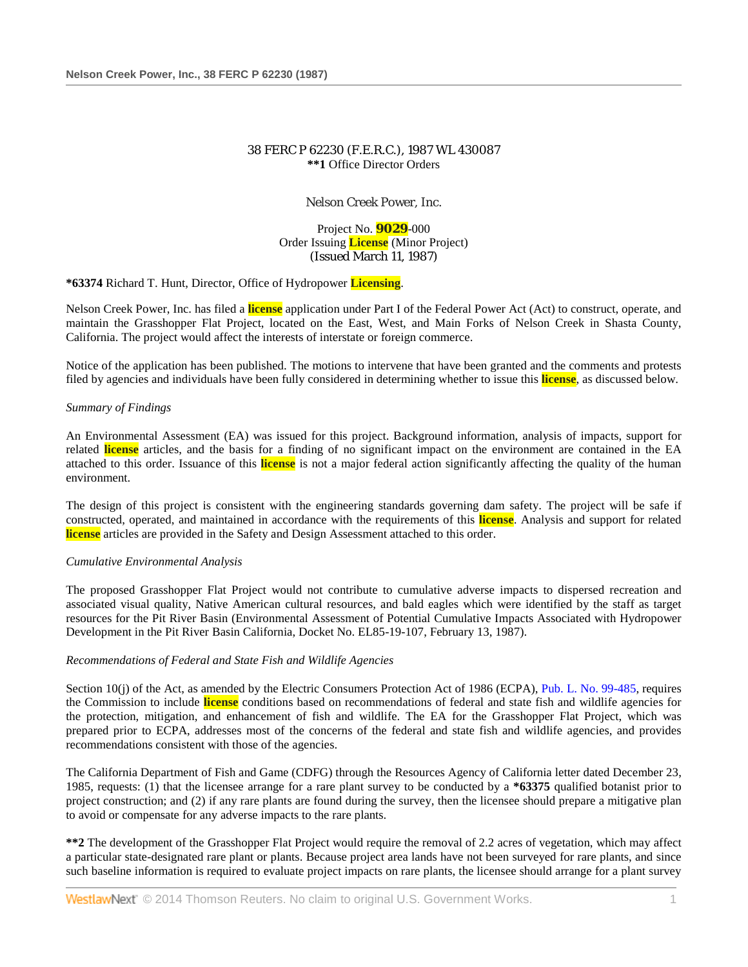# 38 FERC P 62230 (F.E.R.C.), 1987 WL 430087 **\*\*1** Office Director Orders

Nelson Creek Power, Inc.

Project No. **9029**-000 Order Issuing **License** (Minor Project) (Issued March 11, 1987)

### **\*63374** Richard T. Hunt, Director, Office of Hydropower **Licensing**.

Nelson Creek Power, Inc. has filed a **license** application under Part I of the Federal Power Act (Act) to construct, operate, and maintain the Grasshopper Flat Project, located on the East, West, and Main Forks of Nelson Creek in Shasta County, California. The project would affect the interests of interstate or foreign commerce.

Notice of the application has been published. The motions to intervene that have been granted and the comments and protests filed by agencies and individuals have been fully considered in determining whether to issue this **license**, as discussed below.

### *Summary of Findings*

An Environmental Assessment (EA) was issued for this project. Background information, analysis of impacts, support for related **license** articles, and the basis for a finding of no significant impact on the environment are contained in the EA attached to this order. Issuance of this **license** is not a major federal action significantly affecting the quality of the human environment.

The design of this project is consistent with the engineering standards governing dam safety. The project will be safe if constructed, operated, and maintained in accordance with the requirements of this **license**. Analysis and support for related **license** articles are provided in the Safety and Design Assessment attached to this order.

### *Cumulative Environmental Analysis*

The proposed Grasshopper Flat Project would not contribute to cumulative adverse impacts to dispersed recreation and associated visual quality, Native American cultural resources, and bald eagles which were identified by the staff as target resources for the Pit River Basin (Environmental Assessment of Potential Cumulative Impacts Associated with Hydropower Development in the Pit River Basin California, Docket No. EL85-19-107, February 13, 1987).

### *Recommendations of Federal and State Fish and Wildlife Agencies*

Section 10(j) of the Act, as amended by the Electric Consumers Protection Act of 1986 (ECPA), [Pub. L. No. 99-485,](http://www.westlaw.com/Link/Document/FullText?findType=l&pubNum=1077005&cite=UUID(I7A459A378D-4347AAA1F74-6198DA91373)&originationContext=document&vr=3.0&rs=cblt1.0&transitionType=DocumentItem&contextData=(sc.Search)) requires the Commission to include **license** conditions based on recommendations of federal and state fish and wildlife agencies for the protection, mitigation, and enhancement of fish and wildlife. The EA for the Grasshopper Flat Project, which was prepared prior to ECPA, addresses most of the concerns of the federal and state fish and wildlife agencies, and provides recommendations consistent with those of the agencies.

The California Department of Fish and Game (CDFG) through the Resources Agency of California letter dated December 23, 1985, requests: (1) that the licensee arrange for a rare plant survey to be conducted by a **\*63375** qualified botanist prior to project construction; and (2) if any rare plants are found during the survey, then the licensee should prepare a mitigative plan to avoid or compensate for any adverse impacts to the rare plants.

**\*\*2** The development of the Grasshopper Flat Project would require the removal of 2.2 acres of vegetation, which may affect a particular state-designated rare plant or plants. Because project area lands have not been surveyed for rare plants, and since such baseline information is required to evaluate project impacts on rare plants, the licensee should arrange for a plant survey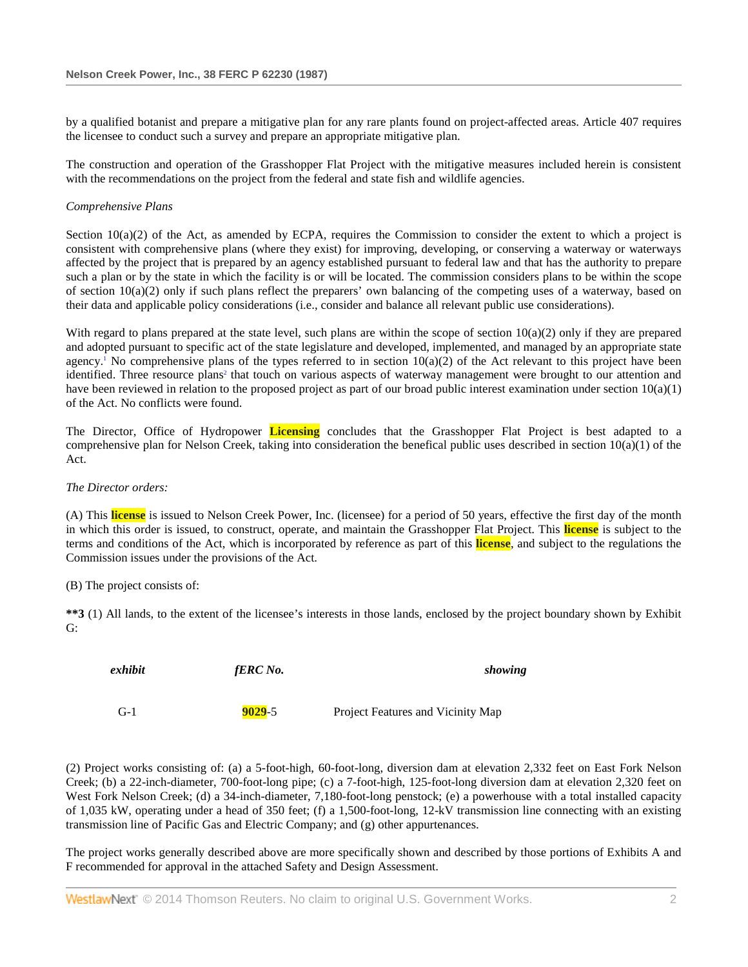by a qualified botanist and prepare a mitigative plan for any rare plants found on project-affected areas. Article 407 requires the licensee to conduct such a survey and prepare an appropriate mitigative plan.

The construction and operation of the Grasshopper Flat Project with the mitigative measures included herein is consistent with the recommendations on the project from the federal and state fish and wildlife agencies.

### *Comprehensive Plans*

Section  $10(a)(2)$  of the Act, as amended by ECPA, requires the Commission to consider the extent to which a project is consistent with comprehensive plans (where they exist) for improving, developing, or conserving a waterway or waterways affected by the project that is prepared by an agency established pursuant to federal law and that has the authority to prepare such a plan or by the state in which the facility is or will be located. The commission considers plans to be within the scope of section  $10(a)(2)$  only if such plans reflect the preparers' own balancing of the competing uses of a waterway, based on their data and applicable policy considerations (i.e., consider and balance all relevant public use considerations).

With regard to plans prepared at the state level, such plans are within the scope of section  $10(a)(2)$  only if they are prepared and adopted pursuant to specific act of the state legislature and developed, implemented, and managed by an appropriate state agency.<sup>1</sup> No comprehensive plans of the types referred to in section  $10(a)(2)$  of the Act relevant to this project have been identified. Three resource plans<sup>2</sup> that touch on various aspects of waterway management were brought to our attention and have been reviewed in relation to the proposed project as part of our broad public interest examination under section  $10(a)(1)$ of the Act. No conflicts were found.

The Director, Office of Hydropower **Licensing** concludes that the Grasshopper Flat Project is best adapted to a comprehensive plan for Nelson Creek, taking into consideration the benefical public uses described in section  $10(a)(1)$  of the Act.

### *The Director orders:*

(A) This **license** is issued to Nelson Creek Power, Inc. (licensee) for a period of 50 years, effective the first day of the month in which this order is issued, to construct, operate, and maintain the Grasshopper Flat Project. This **license** is subject to the terms and conditions of the Act, which is incorporated by reference as part of this **license**, and subject to the regulations the Commission issues under the provisions of the Act.

(B) The project consists of:

**\*\*3** (1) All lands, to the extent of the licensee's interests in those lands, enclosed by the project boundary shown by Exhibit G:

| exhibit | fERC No.   | showing                           |
|---------|------------|-----------------------------------|
| $G-1$   | $9029 - 5$ | Project Features and Vicinity Map |

(2) Project works consisting of: (a) a 5-foot-high, 60-foot-long, diversion dam at elevation 2,332 feet on East Fork Nelson Creek; (b) a 22-inch-diameter, 700-foot-long pipe; (c) a 7-foot-high, 125-foot-long diversion dam at elevation 2,320 feet on West Fork Nelson Creek; (d) a 34-inch-diameter, 7,180-foot-long penstock; (e) a powerhouse with a total installed capacity of 1,035 kW, operating under a head of 350 feet; (f) a 1,500-foot-long, 12-kV transmission line connecting with an existing transmission line of Pacific Gas and Electric Company; and (g) other appurtenances.

The project works generally described above are more specifically shown and described by those portions of Exhibits A and F recommended for approval in the attached Safety and Design Assessment.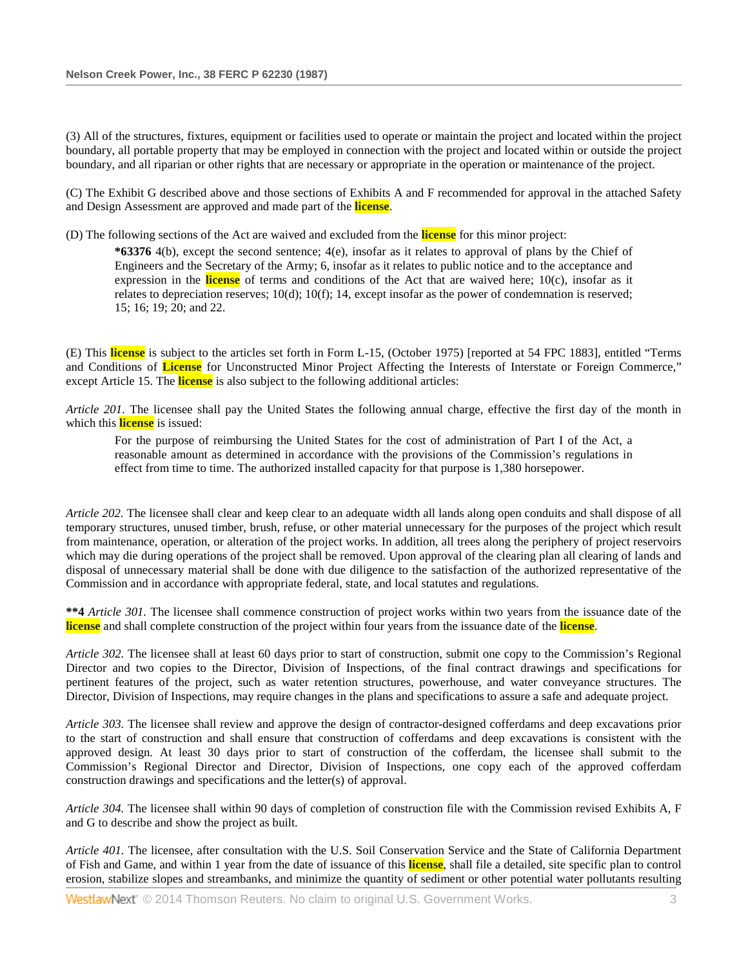(3) All of the structures, fixtures, equipment or facilities used to operate or maintain the project and located within the project boundary, all portable property that may be employed in connection with the project and located within or outside the project boundary, and all riparian or other rights that are necessary or appropriate in the operation or maintenance of the project.

(C) The Exhibit G described above and those sections of Exhibits A and F recommended for approval in the attached Safety and Design Assessment are approved and made part of the **license**.

(D) The following sections of the Act are waived and excluded from the **license** for this minor project:

**\*63376** 4(b), except the second sentence; 4(e), insofar as it relates to approval of plans by the Chief of Engineers and the Secretary of the Army; 6, insofar as it relates to public notice and to the acceptance and expression in the **license** of terms and conditions of the Act that are waived here; 10(c), insofar as it relates to depreciation reserves; 10(d); 10(f); 14, except insofar as the power of condemnation is reserved; 15; 16; 19; 20; and 22.

(E) This **license** is subject to the articles set forth in Form L-15, (October 1975) [reported at 54 FPC 1883], entitled "Terms and Conditions of **License** for Unconstructed Minor Project Affecting the Interests of Interstate or Foreign Commerce," except Article 15. The **license** is also subject to the following additional articles:

*Article 201.* The licensee shall pay the United States the following annual charge, effective the first day of the month in which this **license** is issued:

For the purpose of reimbursing the United States for the cost of administration of Part I of the Act, a reasonable amount as determined in accordance with the provisions of the Commission's regulations in effect from time to time. The authorized installed capacity for that purpose is 1,380 horsepower.

*Article 202.* The licensee shall clear and keep clear to an adequate width all lands along open conduits and shall dispose of all temporary structures, unused timber, brush, refuse, or other material unnecessary for the purposes of the project which result from maintenance, operation, or alteration of the project works. In addition, all trees along the periphery of project reservoirs which may die during operations of the project shall be removed. Upon approval of the clearing plan all clearing of lands and disposal of unnecessary material shall be done with due diligence to the satisfaction of the authorized representative of the Commission and in accordance with appropriate federal, state, and local statutes and regulations.

**\*\*4** *Article 301.* The licensee shall commence construction of project works within two years from the issuance date of the **license** and shall complete construction of the project within four years from the issuance date of the **license**.

*Article 302.* The licensee shall at least 60 days prior to start of construction, submit one copy to the Commission's Regional Director and two copies to the Director, Division of Inspections, of the final contract drawings and specifications for pertinent features of the project, such as water retention structures, powerhouse, and water conveyance structures. The Director, Division of Inspections, may require changes in the plans and specifications to assure a safe and adequate project.

*Article 303.* The licensee shall review and approve the design of contractor-designed cofferdams and deep excavations prior to the start of construction and shall ensure that construction of cofferdams and deep excavations is consistent with the approved design. At least 30 days prior to start of construction of the cofferdam, the licensee shall submit to the Commission's Regional Director and Director, Division of Inspections, one copy each of the approved cofferdam construction drawings and specifications and the letter(s) of approval.

*Article 304.* The licensee shall within 90 days of completion of construction file with the Commission revised Exhibits A, F and G to describe and show the project as built.

*Article 401.* The licensee, after consultation with the U.S. Soil Conservation Service and the State of California Department of Fish and Game, and within 1 year from the date of issuance of this **license**, shall file a detailed, site specific plan to control erosion, stabilize slopes and streambanks, and minimize the quantity of sediment or other potential water pollutants resulting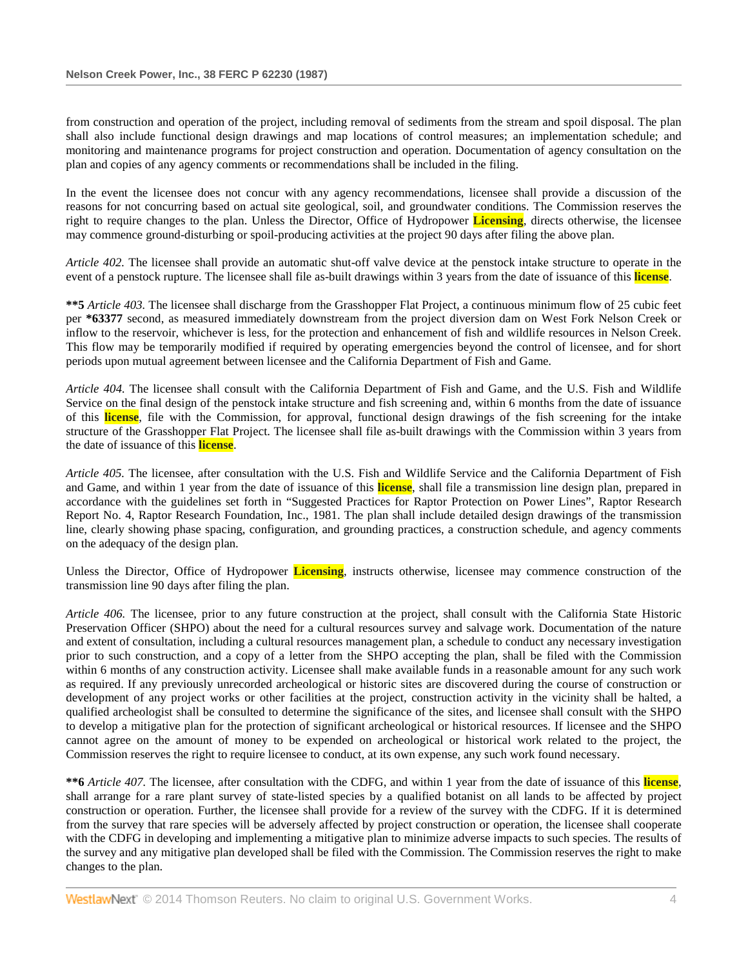from construction and operation of the project, including removal of sediments from the stream and spoil disposal. The plan shall also include functional design drawings and map locations of control measures; an implementation schedule; and monitoring and maintenance programs for project construction and operation. Documentation of agency consultation on the plan and copies of any agency comments or recommendations shall be included in the filing.

In the event the licensee does not concur with any agency recommendations, licensee shall provide a discussion of the reasons for not concurring based on actual site geological, soil, and groundwater conditions. The Commission reserves the right to require changes to the plan. Unless the Director, Office of Hydropower **Licensing**, directs otherwise, the licensee may commence ground-disturbing or spoil-producing activities at the project 90 days after filing the above plan.

*Article 402.* The licensee shall provide an automatic shut-off valve device at the penstock intake structure to operate in the event of a penstock rupture. The licensee shall file as-built drawings within 3 years from the date of issuance of this **license**.

**\*\*5** *Article 403.* The licensee shall discharge from the Grasshopper Flat Project, a continuous minimum flow of 25 cubic feet per **\*63377** second, as measured immediately downstream from the project diversion dam on West Fork Nelson Creek or inflow to the reservoir, whichever is less, for the protection and enhancement of fish and wildlife resources in Nelson Creek. This flow may be temporarily modified if required by operating emergencies beyond the control of licensee, and for short periods upon mutual agreement between licensee and the California Department of Fish and Game.

*Article 404.* The licensee shall consult with the California Department of Fish and Game, and the U.S. Fish and Wildlife Service on the final design of the penstock intake structure and fish screening and, within 6 months from the date of issuance of this **license**, file with the Commission, for approval, functional design drawings of the fish screening for the intake structure of the Grasshopper Flat Project. The licensee shall file as-built drawings with the Commission within 3 years from the date of issuance of this **license**.

*Article 405.* The licensee, after consultation with the U.S. Fish and Wildlife Service and the California Department of Fish and Game, and within 1 year from the date of issuance of this **license**, shall file a transmission line design plan, prepared in accordance with the guidelines set forth in "Suggested Practices for Raptor Protection on Power Lines", Raptor Research Report No. 4, Raptor Research Foundation, Inc., 1981. The plan shall include detailed design drawings of the transmission line, clearly showing phase spacing, configuration, and grounding practices, a construction schedule, and agency comments on the adequacy of the design plan.

Unless the Director, Office of Hydropower **Licensing**, instructs otherwise, licensee may commence construction of the transmission line 90 days after filing the plan.

*Article 406.* The licensee, prior to any future construction at the project, shall consult with the California State Historic Preservation Officer (SHPO) about the need for a cultural resources survey and salvage work. Documentation of the nature and extent of consultation, including a cultural resources management plan, a schedule to conduct any necessary investigation prior to such construction, and a copy of a letter from the SHPO accepting the plan, shall be filed with the Commission within 6 months of any construction activity. Licensee shall make available funds in a reasonable amount for any such work as required. If any previously unrecorded archeological or historic sites are discovered during the course of construction or development of any project works or other facilities at the project, construction activity in the vicinity shall be halted, a qualified archeologist shall be consulted to determine the significance of the sites, and licensee shall consult with the SHPO to develop a mitigative plan for the protection of significant archeological or historical resources. If licensee and the SHPO cannot agree on the amount of money to be expended on archeological or historical work related to the project, the Commission reserves the right to require licensee to conduct, at its own expense, any such work found necessary.

**\*\*6** *Article 407.* The licensee, after consultation with the CDFG, and within 1 year from the date of issuance of this **license**, shall arrange for a rare plant survey of state-listed species by a qualified botanist on all lands to be affected by project construction or operation. Further, the licensee shall provide for a review of the survey with the CDFG. If it is determined from the survey that rare species will be adversely affected by project construction or operation, the licensee shall cooperate with the CDFG in developing and implementing a mitigative plan to minimize adverse impacts to such species. The results of the survey and any mitigative plan developed shall be filed with the Commission. The Commission reserves the right to make changes to the plan.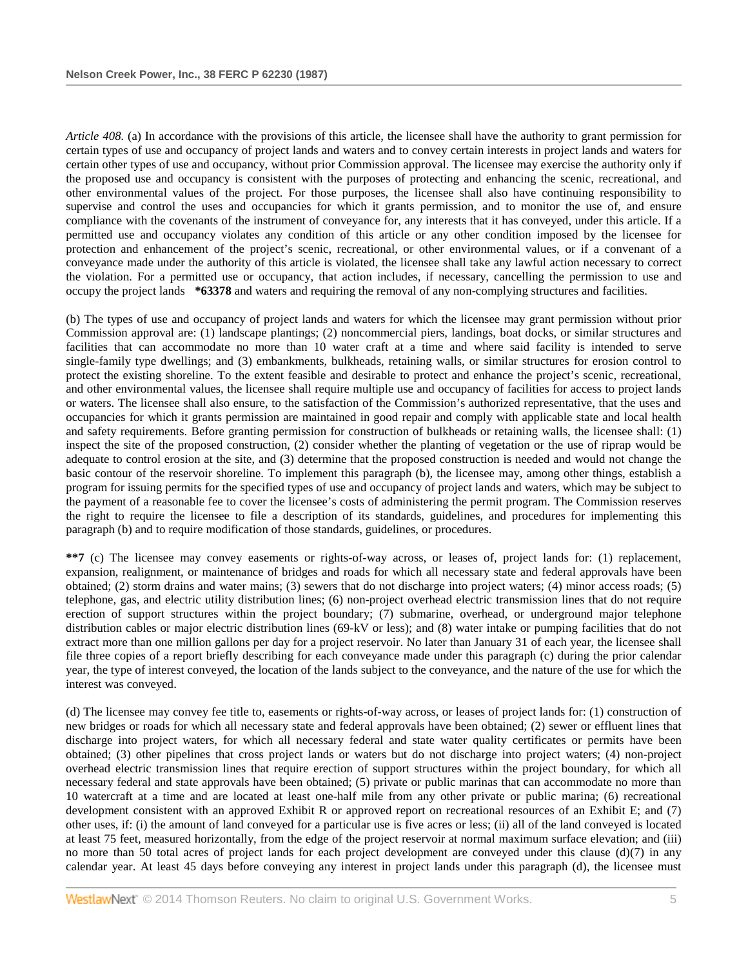*Article 408.* (a) In accordance with the provisions of this article, the licensee shall have the authority to grant permission for certain types of use and occupancy of project lands and waters and to convey certain interests in project lands and waters for certain other types of use and occupancy, without prior Commission approval. The licensee may exercise the authority only if the proposed use and occupancy is consistent with the purposes of protecting and enhancing the scenic, recreational, and other environmental values of the project. For those purposes, the licensee shall also have continuing responsibility to supervise and control the uses and occupancies for which it grants permission, and to monitor the use of, and ensure compliance with the covenants of the instrument of conveyance for, any interests that it has conveyed, under this article. If a permitted use and occupancy violates any condition of this article or any other condition imposed by the licensee for protection and enhancement of the project's scenic, recreational, or other environmental values, or if a convenant of a conveyance made under the authority of this article is violated, the licensee shall take any lawful action necessary to correct the violation. For a permitted use or occupancy, that action includes, if necessary, cancelling the permission to use and occupy the project lands **\*63378** and waters and requiring the removal of any non-complying structures and facilities.

(b) The types of use and occupancy of project lands and waters for which the licensee may grant permission without prior Commission approval are: (1) landscape plantings; (2) noncommercial piers, landings, boat docks, or similar structures and facilities that can accommodate no more than 10 water craft at a time and where said facility is intended to serve single-family type dwellings; and (3) embankments, bulkheads, retaining walls, or similar structures for erosion control to protect the existing shoreline. To the extent feasible and desirable to protect and enhance the project's scenic, recreational, and other environmental values, the licensee shall require multiple use and occupancy of facilities for access to project lands or waters. The licensee shall also ensure, to the satisfaction of the Commission's authorized representative, that the uses and occupancies for which it grants permission are maintained in good repair and comply with applicable state and local health and safety requirements. Before granting permission for construction of bulkheads or retaining walls, the licensee shall: (1) inspect the site of the proposed construction, (2) consider whether the planting of vegetation or the use of riprap would be adequate to control erosion at the site, and (3) determine that the proposed construction is needed and would not change the basic contour of the reservoir shoreline. To implement this paragraph (b), the licensee may, among other things, establish a program for issuing permits for the specified types of use and occupancy of project lands and waters, which may be subject to the payment of a reasonable fee to cover the licensee's costs of administering the permit program. The Commission reserves the right to require the licensee to file a description of its standards, guidelines, and procedures for implementing this paragraph (b) and to require modification of those standards, guidelines, or procedures.

**\*\*7** (c) The licensee may convey easements or rights-of-way across, or leases of, project lands for: (1) replacement, expansion, realignment, or maintenance of bridges and roads for which all necessary state and federal approvals have been obtained; (2) storm drains and water mains; (3) sewers that do not discharge into project waters; (4) minor access roads; (5) telephone, gas, and electric utility distribution lines; (6) non-project overhead electric transmission lines that do not require erection of support structures within the project boundary; (7) submarine, overhead, or underground major telephone distribution cables or major electric distribution lines (69-kV or less); and (8) water intake or pumping facilities that do not extract more than one million gallons per day for a project reservoir. No later than January 31 of each year, the licensee shall file three copies of a report briefly describing for each conveyance made under this paragraph (c) during the prior calendar year, the type of interest conveyed, the location of the lands subject to the conveyance, and the nature of the use for which the interest was conveyed.

(d) The licensee may convey fee title to, easements or rights-of-way across, or leases of project lands for: (1) construction of new bridges or roads for which all necessary state and federal approvals have been obtained; (2) sewer or effluent lines that discharge into project waters, for which all necessary federal and state water quality certificates or permits have been obtained; (3) other pipelines that cross project lands or waters but do not discharge into project waters; (4) non-project overhead electric transmission lines that require erection of support structures within the project boundary, for which all necessary federal and state approvals have been obtained; (5) private or public marinas that can accommodate no more than 10 watercraft at a time and are located at least one-half mile from any other private or public marina; (6) recreational development consistent with an approved Exhibit R or approved report on recreational resources of an Exhibit E; and (7) other uses, if: (i) the amount of land conveyed for a particular use is five acres or less; (ii) all of the land conveyed is located at least 75 feet, measured horizontally, from the edge of the project reservoir at normal maximum surface elevation; and (iii) no more than 50 total acres of project lands for each project development are conveyed under this clause (d)(7) in any calendar year. At least 45 days before conveying any interest in project lands under this paragraph (d), the licensee must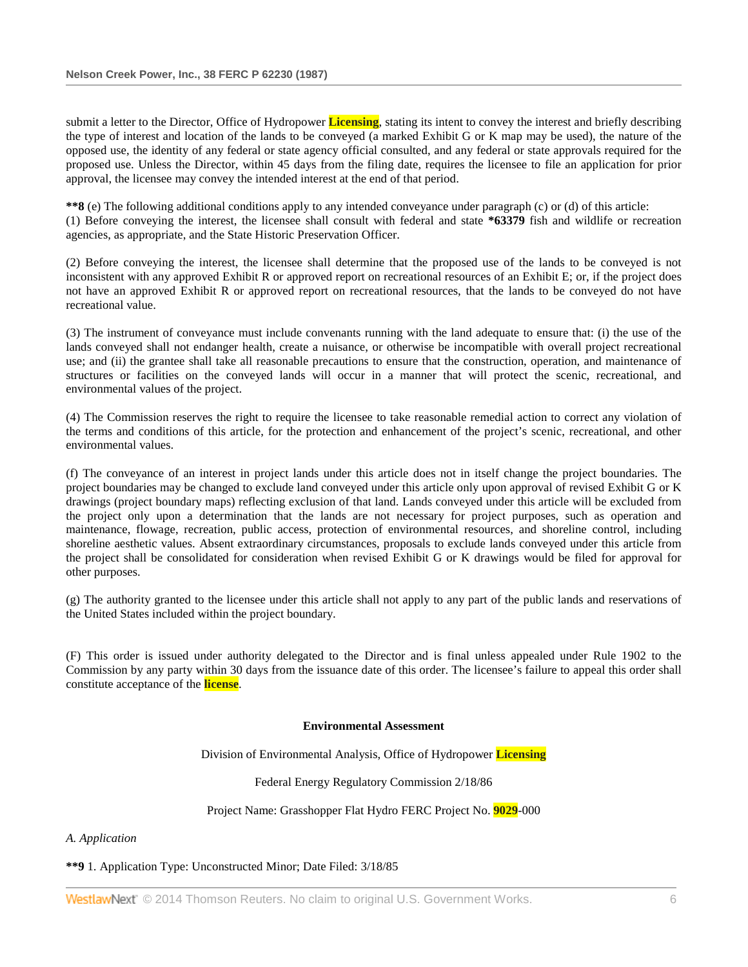submit a letter to the Director, Office of Hydropower **Licensing**, stating its intent to convey the interest and briefly describing the type of interest and location of the lands to be conveyed (a marked Exhibit G or K map may be used), the nature of the opposed use, the identity of any federal or state agency official consulted, and any federal or state approvals required for the proposed use. Unless the Director, within 45 days from the filing date, requires the licensee to file an application for prior approval, the licensee may convey the intended interest at the end of that period.

**\*\*8** (e) The following additional conditions apply to any intended conveyance under paragraph (c) or (d) of this article: (1) Before conveying the interest, the licensee shall consult with federal and state **\*63379** fish and wildlife or recreation agencies, as appropriate, and the State Historic Preservation Officer.

(2) Before conveying the interest, the licensee shall determine that the proposed use of the lands to be conveyed is not inconsistent with any approved Exhibit R or approved report on recreational resources of an Exhibit E; or, if the project does not have an approved Exhibit R or approved report on recreational resources, that the lands to be conveyed do not have recreational value.

(3) The instrument of conveyance must include convenants running with the land adequate to ensure that: (i) the use of the lands conveyed shall not endanger health, create a nuisance, or otherwise be incompatible with overall project recreational use; and (ii) the grantee shall take all reasonable precautions to ensure that the construction, operation, and maintenance of structures or facilities on the conveyed lands will occur in a manner that will protect the scenic, recreational, and environmental values of the project.

(4) The Commission reserves the right to require the licensee to take reasonable remedial action to correct any violation of the terms and conditions of this article, for the protection and enhancement of the project's scenic, recreational, and other environmental values.

(f) The conveyance of an interest in project lands under this article does not in itself change the project boundaries. The project boundaries may be changed to exclude land conveyed under this article only upon approval of revised Exhibit G or K drawings (project boundary maps) reflecting exclusion of that land. Lands conveyed under this article will be excluded from the project only upon a determination that the lands are not necessary for project purposes, such as operation and maintenance, flowage, recreation, public access, protection of environmental resources, and shoreline control, including shoreline aesthetic values. Absent extraordinary circumstances, proposals to exclude lands conveyed under this article from the project shall be consolidated for consideration when revised Exhibit G or K drawings would be filed for approval for other purposes.

(g) The authority granted to the licensee under this article shall not apply to any part of the public lands and reservations of the United States included within the project boundary.

(F) This order is issued under authority delegated to the Director and is final unless appealed under Rule 1902 to the Commission by any party within 30 days from the issuance date of this order. The licensee's failure to appeal this order shall constitute acceptance of the **license**.

### **Environmental Assessment**

Division of Environmental Analysis, Office of Hydropower **Licensing**

# Federal Energy Regulatory Commission 2/18/86

Project Name: Grasshopper Flat Hydro FERC Project No. **9029**-000

### *A. Application*

**\*\*9** 1. Application Type: Unconstructed Minor; Date Filed: 3/18/85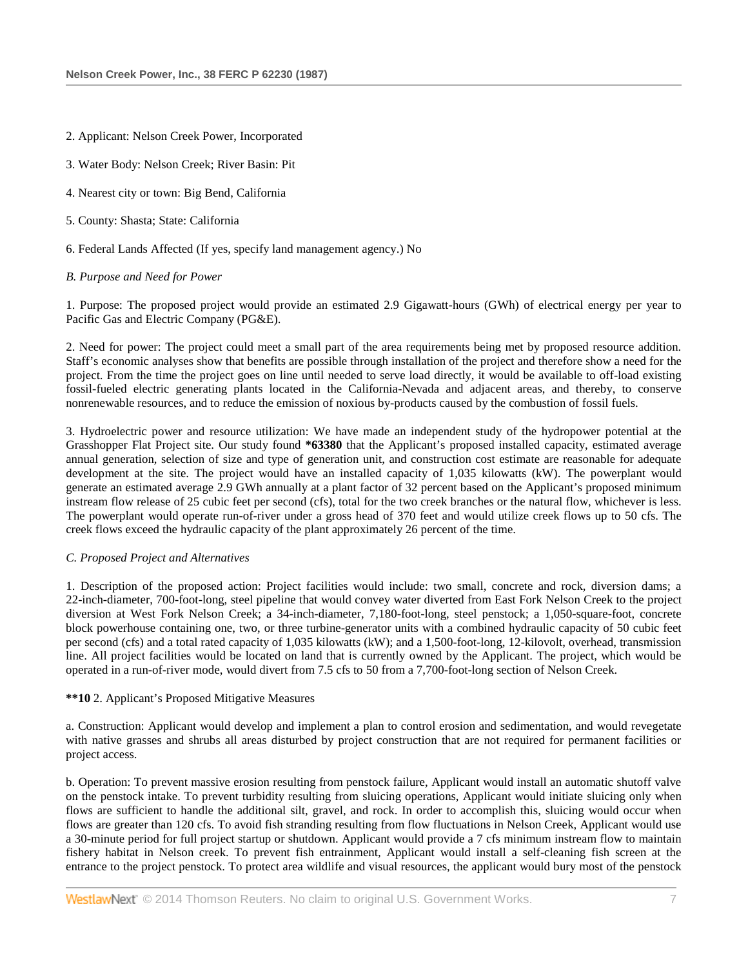- 2. Applicant: Nelson Creek Power, Incorporated
- 3. Water Body: Nelson Creek; River Basin: Pit
- 4. Nearest city or town: Big Bend, California
- 5. County: Shasta; State: California
- 6. Federal Lands Affected (If yes, specify land management agency.) No

### *B. Purpose and Need for Power*

1. Purpose: The proposed project would provide an estimated 2.9 Gigawatt-hours (GWh) of electrical energy per year to Pacific Gas and Electric Company (PG&E).

2. Need for power: The project could meet a small part of the area requirements being met by proposed resource addition. Staff's economic analyses show that benefits are possible through installation of the project and therefore show a need for the project. From the time the project goes on line until needed to serve load directly, it would be available to off-load existing fossil-fueled electric generating plants located in the California-Nevada and adjacent areas, and thereby, to conserve nonrenewable resources, and to reduce the emission of noxious by-products caused by the combustion of fossil fuels.

3. Hydroelectric power and resource utilization: We have made an independent study of the hydropower potential at the Grasshopper Flat Project site. Our study found **\*63380** that the Applicant's proposed installed capacity, estimated average annual generation, selection of size and type of generation unit, and construction cost estimate are reasonable for adequate development at the site. The project would have an installed capacity of 1,035 kilowatts (kW). The powerplant would generate an estimated average 2.9 GWh annually at a plant factor of 32 percent based on the Applicant's proposed minimum instream flow release of 25 cubic feet per second (cfs), total for the two creek branches or the natural flow, whichever is less. The powerplant would operate run-of-river under a gross head of 370 feet and would utilize creek flows up to 50 cfs. The creek flows exceed the hydraulic capacity of the plant approximately 26 percent of the time.

### *C. Proposed Project and Alternatives*

1. Description of the proposed action: Project facilities would include: two small, concrete and rock, diversion dams; a 22-inch-diameter, 700-foot-long, steel pipeline that would convey water diverted from East Fork Nelson Creek to the project diversion at West Fork Nelson Creek; a 34-inch-diameter, 7,180-foot-long, steel penstock; a 1,050-square-foot, concrete block powerhouse containing one, two, or three turbine-generator units with a combined hydraulic capacity of 50 cubic feet per second (cfs) and a total rated capacity of 1,035 kilowatts (kW); and a 1,500-foot-long, 12-kilovolt, overhead, transmission line. All project facilities would be located on land that is currently owned by the Applicant. The project, which would be operated in a run-of-river mode, would divert from 7.5 cfs to 50 from a 7,700-foot-long section of Nelson Creek.

### **\*\*10** 2. Applicant's Proposed Mitigative Measures

a. Construction: Applicant would develop and implement a plan to control erosion and sedimentation, and would revegetate with native grasses and shrubs all areas disturbed by project construction that are not required for permanent facilities or project access.

b. Operation: To prevent massive erosion resulting from penstock failure, Applicant would install an automatic shutoff valve on the penstock intake. To prevent turbidity resulting from sluicing operations, Applicant would initiate sluicing only when flows are sufficient to handle the additional silt, gravel, and rock. In order to accomplish this, sluicing would occur when flows are greater than 120 cfs. To avoid fish stranding resulting from flow fluctuations in Nelson Creek, Applicant would use a 30-minute period for full project startup or shutdown. Applicant would provide a 7 cfs minimum instream flow to maintain fishery habitat in Nelson creek. To prevent fish entrainment, Applicant would install a self-cleaning fish screen at the entrance to the project penstock. To protect area wildlife and visual resources, the applicant would bury most of the penstock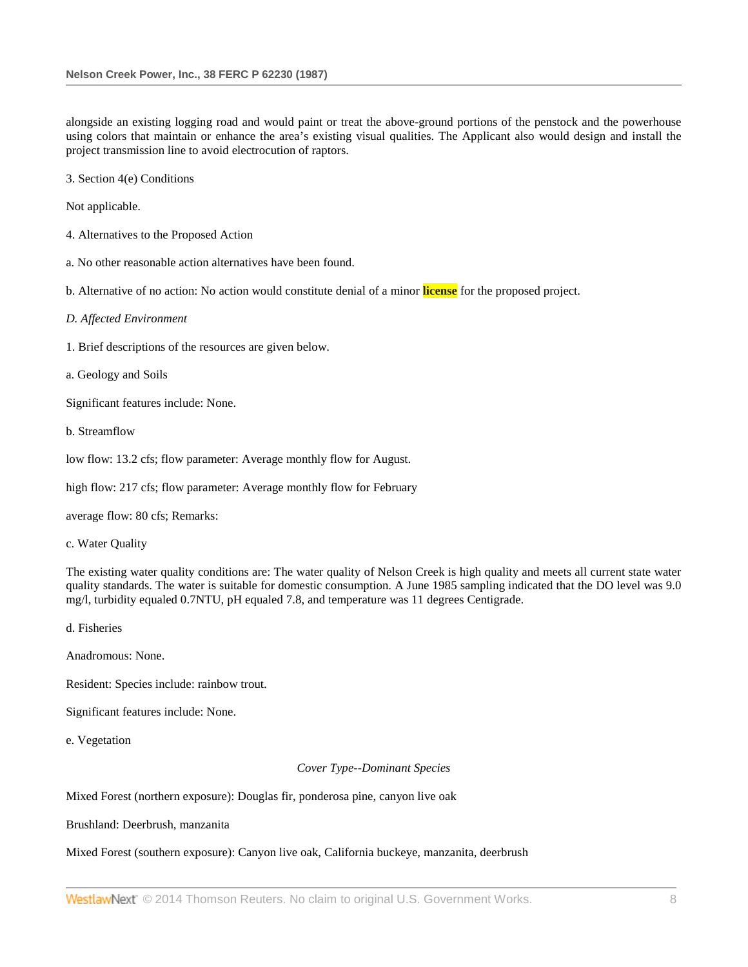alongside an existing logging road and would paint or treat the above-ground portions of the penstock and the powerhouse using colors that maintain or enhance the area's existing visual qualities. The Applicant also would design and install the project transmission line to avoid electrocution of raptors.

3. Section 4(e) Conditions

Not applicable.

- 4. Alternatives to the Proposed Action
- a. No other reasonable action alternatives have been found.

b. Alternative of no action: No action would constitute denial of a minor **license** for the proposed project.

*D. Affected Environment*

- 1. Brief descriptions of the resources are given below.
- a. Geology and Soils

Significant features include: None.

b. Streamflow

low flow: 13.2 cfs; flow parameter: Average monthly flow for August.

high flow: 217 cfs; flow parameter: Average monthly flow for February

average flow: 80 cfs; Remarks:

c. Water Quality

The existing water quality conditions are: The water quality of Nelson Creek is high quality and meets all current state water quality standards. The water is suitable for domestic consumption. A June 1985 sampling indicated that the DO level was 9.0 mg/l, turbidity equaled 0.7NTU, pH equaled 7.8, and temperature was 11 degrees Centigrade.

d. Fisheries

Anadromous: None.

Resident: Species include: rainbow trout.

Significant features include: None.

e. Vegetation

#### *Cover Type--Dominant Species*

Mixed Forest (northern exposure): Douglas fir, ponderosa pine, canyon live oak

Brushland: Deerbrush, manzanita

# Mixed Forest (southern exposure): Canyon live oak, California buckeye, manzanita, deerbrush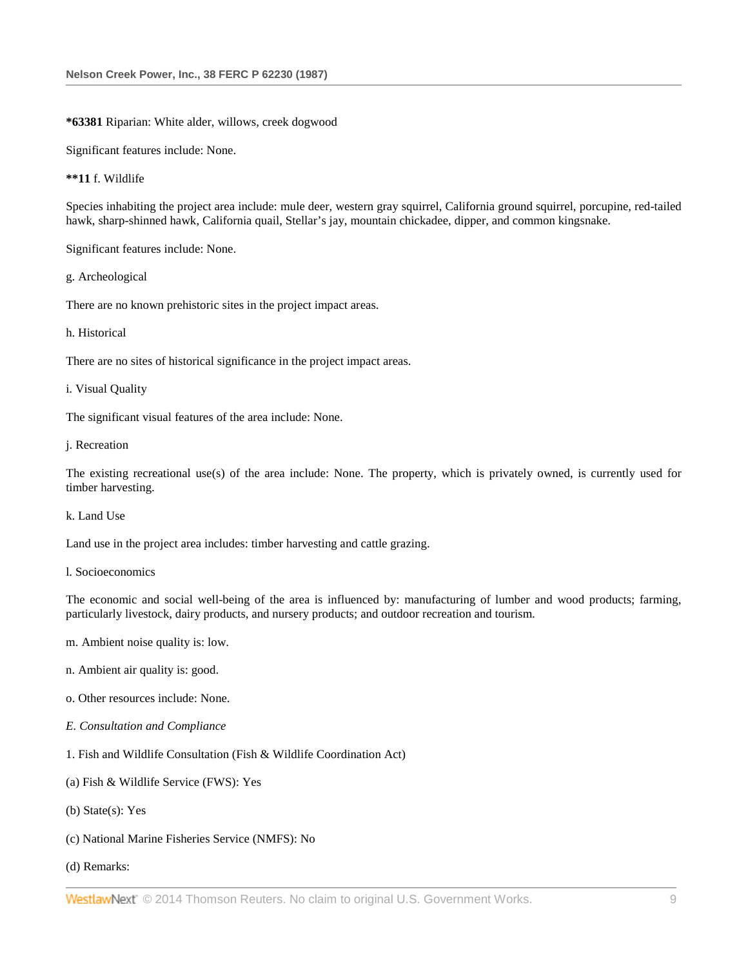### **\*63381** Riparian: White alder, willows, creek dogwood

Significant features include: None.

### **\*\*11** f. Wildlife

Species inhabiting the project area include: mule deer, western gray squirrel, California ground squirrel, porcupine, red-tailed hawk, sharp-shinned hawk, California quail, Stellar's jay, mountain chickadee, dipper, and common kingsnake.

Significant features include: None.

g. Archeological

There are no known prehistoric sites in the project impact areas.

### h. Historical

There are no sites of historical significance in the project impact areas.

i. Visual Quality

The significant visual features of the area include: None.

j. Recreation

The existing recreational use(s) of the area include: None. The property, which is privately owned, is currently used for timber harvesting.

k. Land Use

Land use in the project area includes: timber harvesting and cattle grazing.

## l. Socioeconomics

The economic and social well-being of the area is influenced by: manufacturing of lumber and wood products; farming, particularly livestock, dairy products, and nursery products; and outdoor recreation and tourism.

- m. Ambient noise quality is: low.
- n. Ambient air quality is: good.
- o. Other resources include: None.
- *E. Consultation and Compliance*
- 1. Fish and Wildlife Consultation (Fish & Wildlife Coordination Act)
- (a) Fish & Wildlife Service (FWS): Yes
- (b) State(s): Yes
- (c) National Marine Fisheries Service (NMFS): No
- (d) Remarks: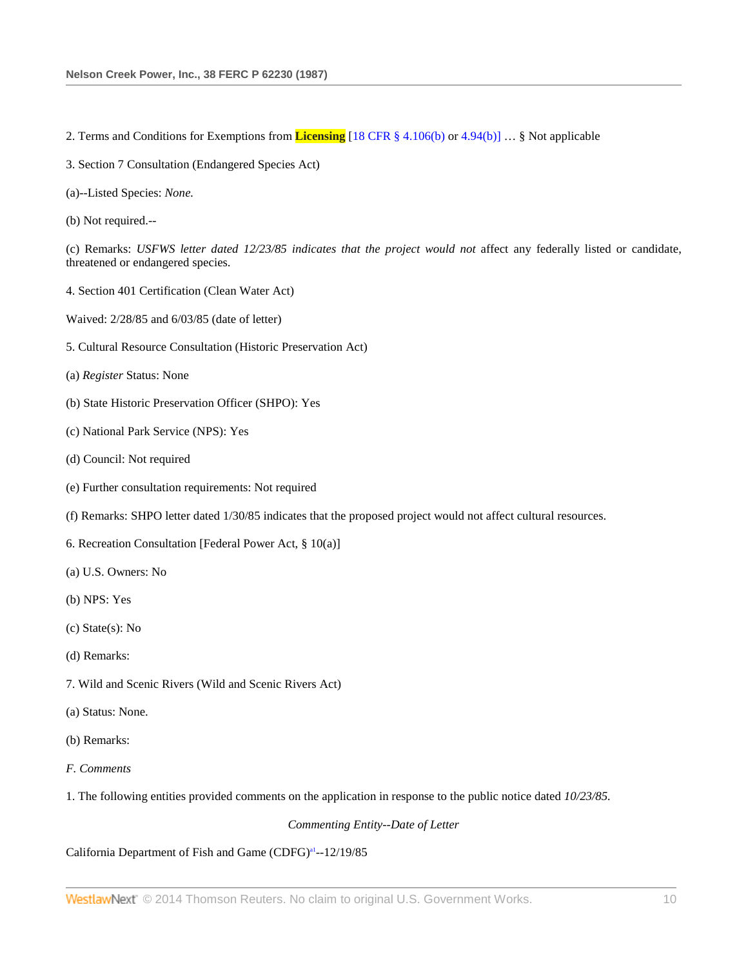- 2. Terms and Conditions for Exemptions from **Licensing** [\[18 CFR § 4.106\(b\)](http://www.westlaw.com/Link/Document/FullText?findType=L&pubNum=1000547&cite=18CFRS4.106&originatingDoc=I7a9d6b1d395211dbb0d3b726c66cf290&refType=LQ&originationContext=document&vr=3.0&rs=cblt1.0&transitionType=DocumentItem&contextData=(sc.Search)) o[r 4.94\(b\)\]](http://www.westlaw.com/Link/Document/FullText?findType=L&pubNum=1000547&cite=18CFRS4.94&originatingDoc=I7a9d6b1d395211dbb0d3b726c66cf290&refType=LQ&originationContext=document&vr=3.0&rs=cblt1.0&transitionType=DocumentItem&contextData=(sc.Search)) … § Not applicable
- 3. Section 7 Consultation (Endangered Species Act)
- (a)--Listed Species: *None.*
- (b) Not required.--

(c) Remarks: *USFWS letter dated 12/23/85 indicates that the project would not* affect any federally listed or candidate, threatened or endangered species.

- 4. Section 401 Certification (Clean Water Act)
- Waived: 2/28/85 and 6/03/85 (date of letter)
- 5. Cultural Resource Consultation (Historic Preservation Act)
- (a) *Register* Status: None
- (b) State Historic Preservation Officer (SHPO): Yes
- (c) National Park Service (NPS): Yes
- (d) Council: Not required
- (e) Further consultation requirements: Not required
- (f) Remarks: SHPO letter dated 1/30/85 indicates that the proposed project would not affect cultural resources.
- 6. Recreation Consultation [Federal Power Act, § 10(a)]
- (a) U.S. Owners: No
- (b) NPS: Yes
- (c) State(s): No
- (d) Remarks:
- 7. Wild and Scenic Rivers (Wild and Scenic Rivers Act)
- (a) Status: None.
- (b) Remarks:
- *F. Comments*
- 1. The following entities provided comments on the application in response to the public notice dated *10/23/85.*

# *Commenting Entity--Date of Letter*

# California Department of Fish and Game (CDFG)<sup>a1</sup>--12/19/85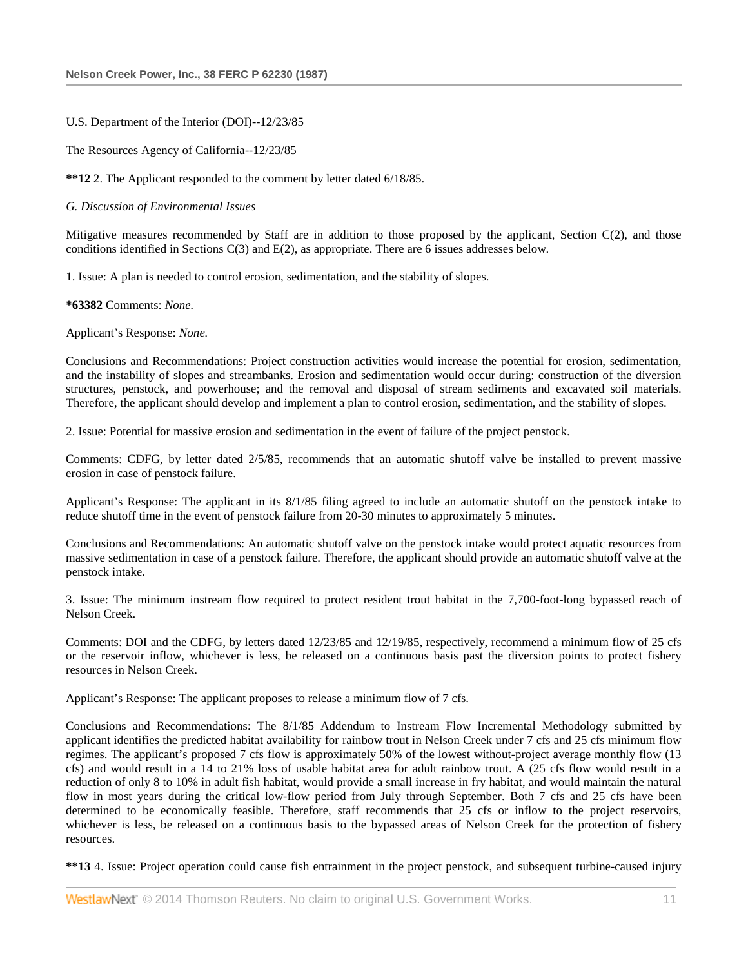### U.S. Department of the Interior (DOI)--12/23/85

The Resources Agency of California--12/23/85

**\*\*12** 2. The Applicant responded to the comment by letter dated 6/18/85.

### *G. Discussion of Environmental Issues*

Mitigative measures recommended by Staff are in addition to those proposed by the applicant, Section  $C(2)$ , and those conditions identified in Sections C(3) and E(2), as appropriate. There are 6 issues addresses below.

1. Issue: A plan is needed to control erosion, sedimentation, and the stability of slopes.

**\*63382** Comments: *None.*

Applicant's Response: *None.*

Conclusions and Recommendations: Project construction activities would increase the potential for erosion, sedimentation, and the instability of slopes and streambanks. Erosion and sedimentation would occur during: construction of the diversion structures, penstock, and powerhouse; and the removal and disposal of stream sediments and excavated soil materials. Therefore, the applicant should develop and implement a plan to control erosion, sedimentation, and the stability of slopes.

2. Issue: Potential for massive erosion and sedimentation in the event of failure of the project penstock.

Comments: CDFG, by letter dated 2/5/85, recommends that an automatic shutoff valve be installed to prevent massive erosion in case of penstock failure.

Applicant's Response: The applicant in its 8/1/85 filing agreed to include an automatic shutoff on the penstock intake to reduce shutoff time in the event of penstock failure from 20-30 minutes to approximately 5 minutes.

Conclusions and Recommendations: An automatic shutoff valve on the penstock intake would protect aquatic resources from massive sedimentation in case of a penstock failure. Therefore, the applicant should provide an automatic shutoff valve at the penstock intake.

3. Issue: The minimum instream flow required to protect resident trout habitat in the 7,700-foot-long bypassed reach of Nelson Creek.

Comments: DOI and the CDFG, by letters dated 12/23/85 and 12/19/85, respectively, recommend a minimum flow of 25 cfs or the reservoir inflow, whichever is less, be released on a continuous basis past the diversion points to protect fishery resources in Nelson Creek.

Applicant's Response: The applicant proposes to release a minimum flow of 7 cfs.

Conclusions and Recommendations: The 8/1/85 Addendum to Instream Flow Incremental Methodology submitted by applicant identifies the predicted habitat availability for rainbow trout in Nelson Creek under 7 cfs and 25 cfs minimum flow regimes. The applicant's proposed 7 cfs flow is approximately 50% of the lowest without-project average monthly flow (13 cfs) and would result in a 14 to 21% loss of usable habitat area for adult rainbow trout. A (25 cfs flow would result in a reduction of only 8 to 10% in adult fish habitat, would provide a small increase in fry habitat, and would maintain the natural flow in most years during the critical low-flow period from July through September. Both 7 cfs and 25 cfs have been determined to be economically feasible. Therefore, staff recommends that 25 cfs or inflow to the project reservoirs, whichever is less, be released on a continuous basis to the bypassed areas of Nelson Creek for the protection of fishery resources.

**\*\*13** 4. Issue: Project operation could cause fish entrainment in the project penstock, and subsequent turbine-caused injury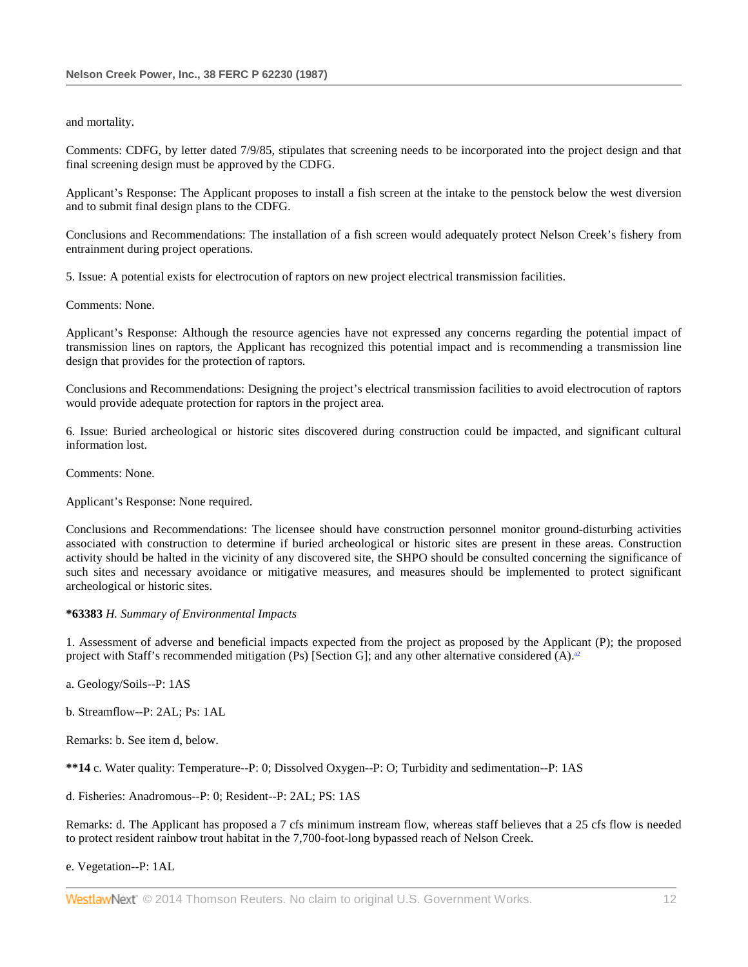### and mortality.

Comments: CDFG, by letter dated 7/9/85, stipulates that screening needs to be incorporated into the project design and that final screening design must be approved by the CDFG.

Applicant's Response: The Applicant proposes to install a fish screen at the intake to the penstock below the west diversion and to submit final design plans to the CDFG.

Conclusions and Recommendations: The installation of a fish screen would adequately protect Nelson Creek's fishery from entrainment during project operations.

5. Issue: A potential exists for electrocution of raptors on new project electrical transmission facilities.

Comments: None.

Applicant's Response: Although the resource agencies have not expressed any concerns regarding the potential impact of transmission lines on raptors, the Applicant has recognized this potential impact and is recommending a transmission line design that provides for the protection of raptors.

Conclusions and Recommendations: Designing the project's electrical transmission facilities to avoid electrocution of raptors would provide adequate protection for raptors in the project area.

6. Issue: Buried archeological or historic sites discovered during construction could be impacted, and significant cultural information lost.

Comments: None.

Applicant's Response: None required.

Conclusions and Recommendations: The licensee should have construction personnel monitor ground-disturbing activities associated with construction to determine if buried archeological or historic sites are present in these areas. Construction activity should be halted in the vicinity of any discovered site, the SHPO should be consulted concerning the significance of such sites and necessary avoidance or mitigative measures, and measures should be implemented to protect significant archeological or historic sites.

# **\*63383** *H. Summary of Environmental Impacts*

1. Assessment of adverse and beneficial impacts expected from the project as proposed by the Applicant (P); the proposed project with Staff's recommended mitigation (Ps) [Section G]; and any other alternative considered (A).<sup>32</sup>

a. Geology/Soils--P: 1AS

b. Streamflow--P: 2AL; Ps: 1AL

Remarks: b. See item d, below.

**\*\*14** c. Water quality: Temperature--P: 0; Dissolved Oxygen--P: O; Turbidity and sedimentation--P: 1AS

d. Fisheries: Anadromous--P: 0; Resident--P: 2AL; PS: 1AS

Remarks: d. The Applicant has proposed a 7 cfs minimum instream flow, whereas staff believes that a 25 cfs flow is needed to protect resident rainbow trout habitat in the 7,700-foot-long bypassed reach of Nelson Creek.

e. Vegetation--P: 1AL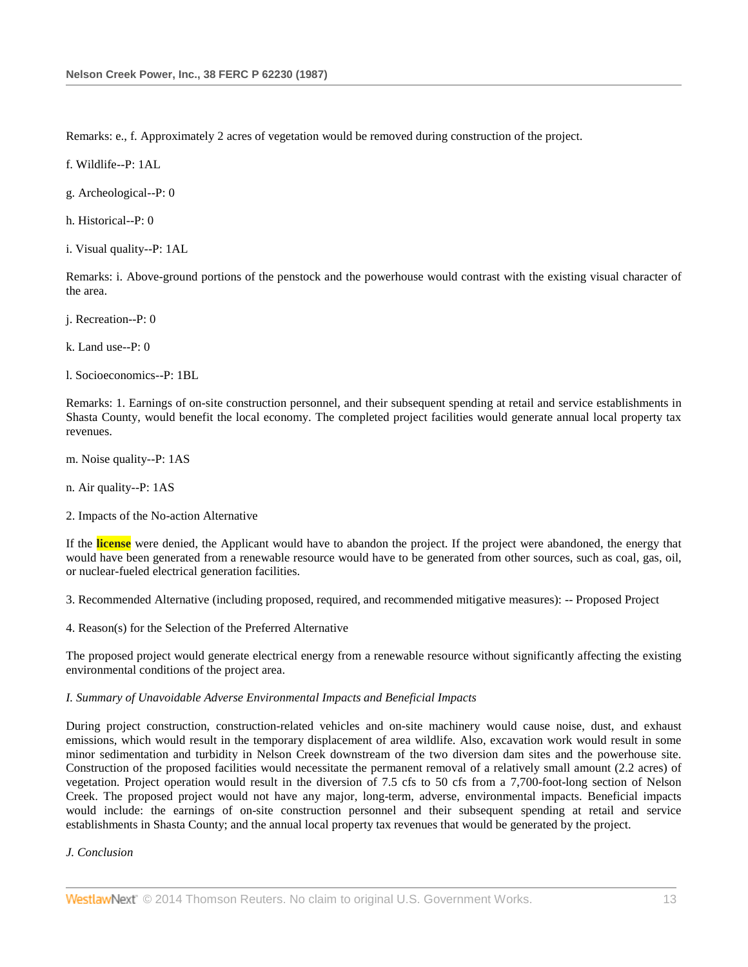Remarks: e., f. Approximately 2 acres of vegetation would be removed during construction of the project.

f. Wildlife--P: 1AL

g. Archeological--P: 0

h. Historical--P: 0

i. Visual quality--P: 1AL

Remarks: i. Above-ground portions of the penstock and the powerhouse would contrast with the existing visual character of the area.

j. Recreation--P: 0

k. Land use-- $P: 0$ 

l. Socioeconomics--P: 1BL

Remarks: 1. Earnings of on-site construction personnel, and their subsequent spending at retail and service establishments in Shasta County, would benefit the local economy. The completed project facilities would generate annual local property tax revenues.

m. Noise quality--P: 1AS

n. Air quality--P: 1AS

2. Impacts of the No-action Alternative

If the **license** were denied, the Applicant would have to abandon the project. If the project were abandoned, the energy that would have been generated from a renewable resource would have to be generated from other sources, such as coal, gas, oil, or nuclear-fueled electrical generation facilities.

3. Recommended Alternative (including proposed, required, and recommended mitigative measures): -- Proposed Project

4. Reason(s) for the Selection of the Preferred Alternative

The proposed project would generate electrical energy from a renewable resource without significantly affecting the existing environmental conditions of the project area.

# *I. Summary of Unavoidable Adverse Environmental Impacts and Beneficial Impacts*

During project construction, construction-related vehicles and on-site machinery would cause noise, dust, and exhaust emissions, which would result in the temporary displacement of area wildlife. Also, excavation work would result in some minor sedimentation and turbidity in Nelson Creek downstream of the two diversion dam sites and the powerhouse site. Construction of the proposed facilities would necessitate the permanent removal of a relatively small amount (2.2 acres) of vegetation. Project operation would result in the diversion of 7.5 cfs to 50 cfs from a 7,700-foot-long section of Nelson Creek. The proposed project would not have any major, long-term, adverse, environmental impacts. Beneficial impacts would include: the earnings of on-site construction personnel and their subsequent spending at retail and service establishments in Shasta County; and the annual local property tax revenues that would be generated by the project.

### *J. Conclusion*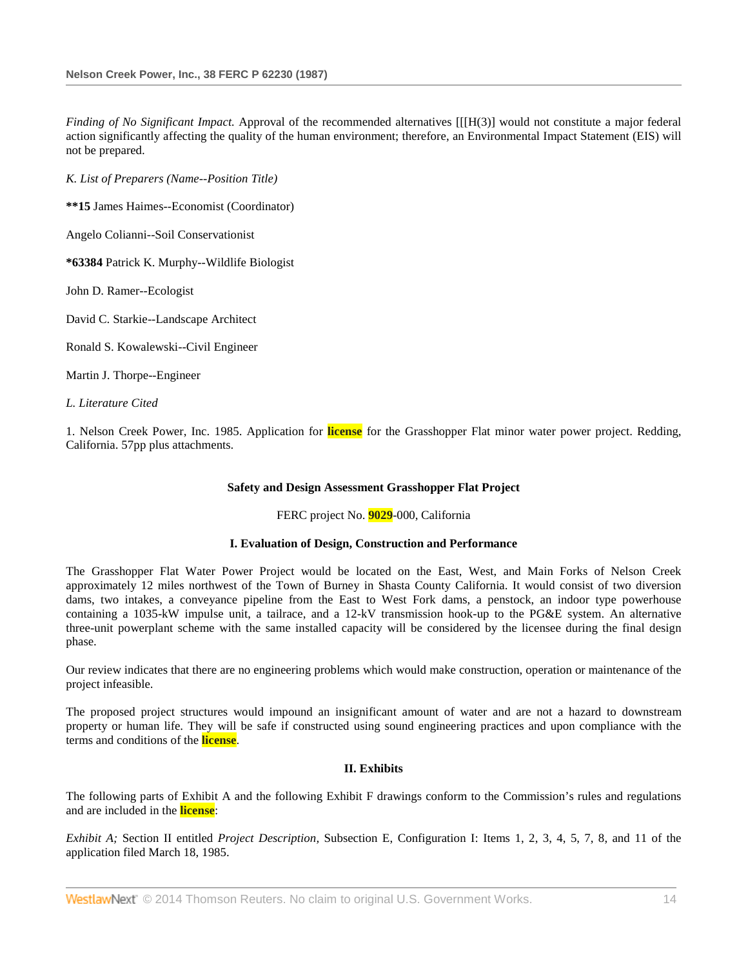*Finding of No Significant Impact.* Approval of the recommended alternatives [[[H(3)] would not constitute a major federal action significantly affecting the quality of the human environment; therefore, an Environmental Impact Statement (EIS) will not be prepared.

*K. List of Preparers (Name--Position Title)*

**\*\*15** James Haimes--Economist (Coordinator)

Angelo Colianni--Soil Conservationist

**\*63384** Patrick K. Murphy--Wildlife Biologist

John D. Ramer--Ecologist

David C. Starkie--Landscape Architect

Ronald S. Kowalewski--Civil Engineer

Martin J. Thorpe--Engineer

*L. Literature Cited*

1. Nelson Creek Power, Inc. 1985. Application for **license** for the Grasshopper Flat minor water power project. Redding, California. 57pp plus attachments.

### **Safety and Design Assessment Grasshopper Flat Project**

### FERC project No. **9029**-000, California

### **I. Evaluation of Design, Construction and Performance**

The Grasshopper Flat Water Power Project would be located on the East, West, and Main Forks of Nelson Creek approximately 12 miles northwest of the Town of Burney in Shasta County California. It would consist of two diversion dams, two intakes, a conveyance pipeline from the East to West Fork dams, a penstock, an indoor type powerhouse containing a 1035-kW impulse unit, a tailrace, and a 12-kV transmission hook-up to the PG&E system. An alternative three-unit powerplant scheme with the same installed capacity will be considered by the licensee during the final design phase.

Our review indicates that there are no engineering problems which would make construction, operation or maintenance of the project infeasible.

The proposed project structures would impound an insignificant amount of water and are not a hazard to downstream property or human life. They will be safe if constructed using sound engineering practices and upon compliance with the terms and conditions of the **license**.

## **II. Exhibits**

The following parts of Exhibit A and the following Exhibit F drawings conform to the Commission's rules and regulations and are included in the **license**:

*Exhibit A;* Section II entitled *Project Description,* Subsection E, Configuration I: Items 1, 2, 3, 4, 5, 7, 8, and 11 of the application filed March 18, 1985.